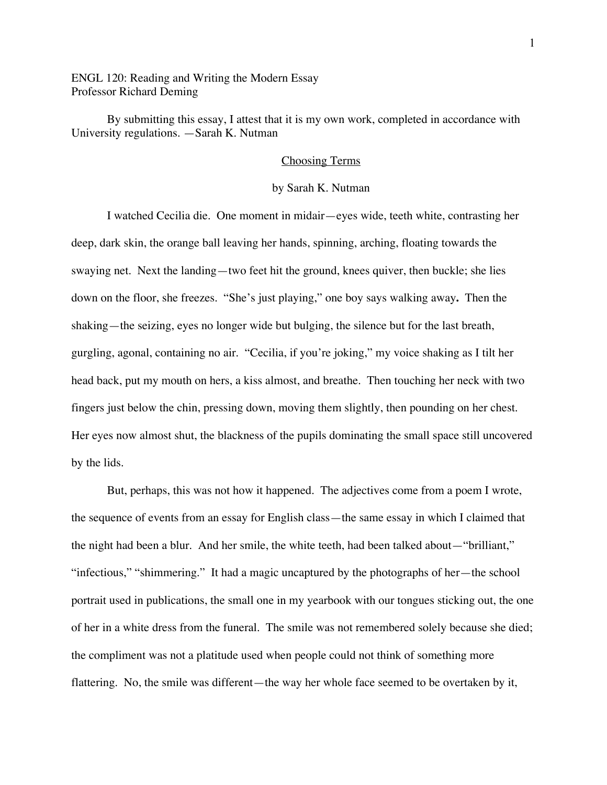ENGL 120: Reading and Writing the Modern Essay Professor Richard Deming

By submitting this essay, I attest that it is my own work, completed in accordance with University regulations. —Sarah K. Nutman

## Choosing Terms

## by Sarah K. Nutman

I watched Cecilia die. One moment in midair—eyes wide, teeth white, contrasting her deep, dark skin, the orange ball leaving her hands, spinning, arching, floating towards the swaying net. Next the landing—two feet hit the ground, knees quiver, then buckle; she lies down on the floor, she freezes. "She's just playing," one boy says walking away**.** Then the shaking—the seizing, eyes no longer wide but bulging, the silence but for the last breath, gurgling, agonal, containing no air. "Cecilia, if you're joking," my voice shaking as I tilt her head back, put my mouth on hers, a kiss almost, and breathe. Then touching her neck with two fingers just below the chin, pressing down, moving them slightly, then pounding on her chest. Her eyes now almost shut, the blackness of the pupils dominating the small space still uncovered by the lids.

But, perhaps, this was not how it happened. The adjectives come from a poem I wrote, the sequence of events from an essay for English class—the same essay in which I claimed that the night had been a blur. And her smile, the white teeth, had been talked about—"brilliant," "infectious," "shimmering." It had a magic uncaptured by the photographs of her—the school portrait used in publications, the small one in my yearbook with our tongues sticking out, the one of her in a white dress from the funeral. The smile was not remembered solely because she died; the compliment was not a platitude used when people could not think of something more flattering. No, the smile was different—the way her whole face seemed to be overtaken by it,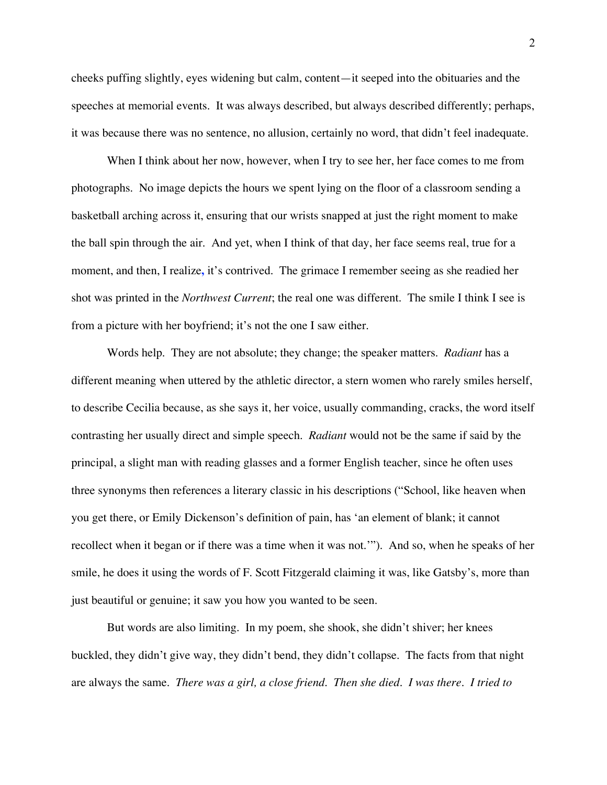cheeks puffing slightly, eyes widening but calm, content—it seeped into the obituaries and the speeches at memorial events. It was always described, but always described differently; perhaps, it was because there was no sentence, no allusion, certainly no word, that didn't feel inadequate.

When I think about her now, however, when I try to see her, her face comes to me from photographs. No image depicts the hours we spent lying on the floor of a classroom sending a basketball arching across it, ensuring that our wrists snapped at just the right moment to make the ball spin through the air. And yet, when I think of that day, her face seems real, true for a moment, and then, I realize**,** it's contrived. The grimace I remember seeing as she readied her shot was printed in the *Northwest Current*; the real one was different. The smile I think I see is from a picture with her boyfriend; it's not the one I saw either.

Words help. They are not absolute; they change; the speaker matters. *Radiant* has a different meaning when uttered by the athletic director, a stern women who rarely smiles herself, to describe Cecilia because, as she says it, her voice, usually commanding, cracks, the word itself contrasting her usually direct and simple speech. *Radiant* would not be the same if said by the principal, a slight man with reading glasses and a former English teacher, since he often uses three synonyms then references a literary classic in his descriptions ("School, like heaven when you get there, or Emily Dickenson's definition of pain, has 'an element of blank; it cannot recollect when it began or if there was a time when it was not.'"). And so, when he speaks of her smile, he does it using the words of F. Scott Fitzgerald claiming it was, like Gatsby's, more than just beautiful or genuine; it saw you how you wanted to be seen.

But words are also limiting. In my poem, she shook, she didn't shiver; her knees buckled, they didn't give way, they didn't bend, they didn't collapse. The facts from that night are always the same. *There was a girl, a close friend. Then she died. I was there. I tried to*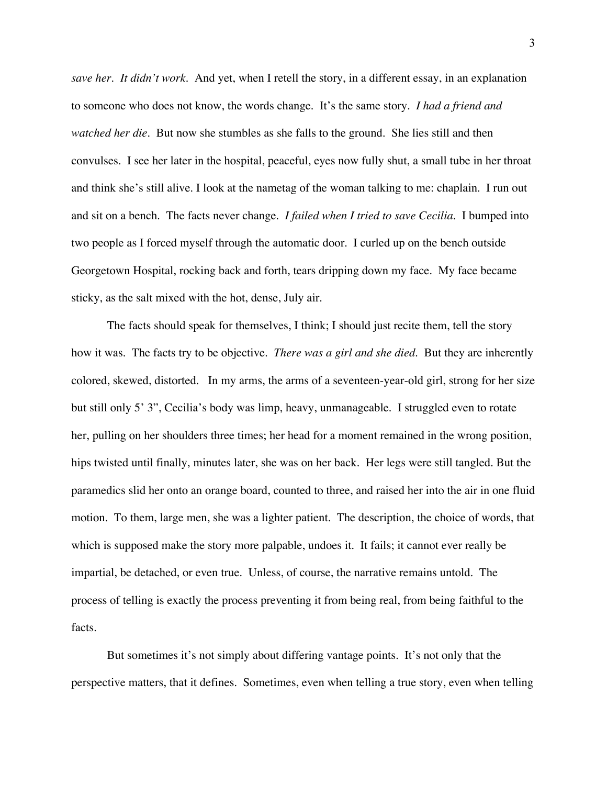*save her. It didn't work.* And yet, when I retell the story, in a different essay, in an explanation to someone who does not know, the words change. It's the same story. *I had a friend and watched her die.* But now she stumbles as she falls to the ground. She lies still and then convulses. I see her later in the hospital, peaceful, eyes now fully shut, a small tube in her throat and think she's still alive. I look at the nametag of the woman talking to me: chaplain. I run out and sit on a bench. The facts never change. *I failed when I tried to save Cecilia.* I bumped into two people as I forced myself through the automatic door. I curled up on the bench outside Georgetown Hospital, rocking back and forth, tears dripping down my face. My face became sticky, as the salt mixed with the hot, dense, July air.

The facts should speak for themselves, I think; I should just recite them, tell the story how it was. The facts try to be objective. *There was a girl and she died.* But they are inherently colored, skewed, distorted. In my arms, the arms of a seventeen-year-old girl, strong for her size but still only 5' 3", Cecilia's body was limp, heavy, unmanageable. I struggled even to rotate her, pulling on her shoulders three times; her head for a moment remained in the wrong position, hips twisted until finally, minutes later, she was on her back. Her legs were still tangled. But the paramedics slid her onto an orange board, counted to three, and raised her into the air in one fluid motion. To them, large men, she was a lighter patient. The description, the choice of words, that which is supposed make the story more palpable, undoes it. It fails; it cannot ever really be impartial, be detached, or even true. Unless, of course, the narrative remains untold. The process of telling is exactly the process preventing it from being real, from being faithful to the facts.

But sometimes it's not simply about differing vantage points. It's not only that the perspective matters, that it defines. Sometimes, even when telling a true story, even when telling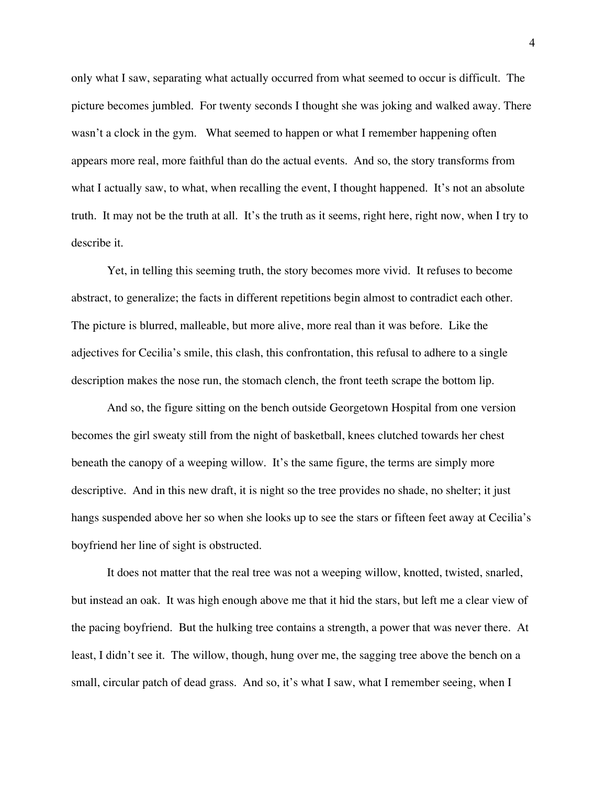only what I saw, separating what actually occurred from what seemed to occur is difficult. The picture becomes jumbled. For twenty seconds I thought she was joking and walked away. There wasn't a clock in the gym. What seemed to happen or what I remember happening often appears more real, more faithful than do the actual events. And so, the story transforms from what I actually saw, to what, when recalling the event, I thought happened. It's not an absolute truth. It may not be the truth at all. It's the truth as it seems, right here, right now, when I try to describe it.

Yet, in telling this seeming truth, the story becomes more vivid. It refuses to become abstract, to generalize; the facts in different repetitions begin almost to contradict each other. The picture is blurred, malleable, but more alive, more real than it was before. Like the adjectives for Cecilia's smile, this clash, this confrontation, this refusal to adhere to a single description makes the nose run, the stomach clench, the front teeth scrape the bottom lip.

And so, the figure sitting on the bench outside Georgetown Hospital from one version becomes the girl sweaty still from the night of basketball, knees clutched towards her chest beneath the canopy of a weeping willow. It's the same figure, the terms are simply more descriptive. And in this new draft, it is night so the tree provides no shade, no shelter; it just hangs suspended above her so when she looks up to see the stars or fifteen feet away at Cecilia's boyfriend her line of sight is obstructed.

It does not matter that the real tree was not a weeping willow, knotted, twisted, snarled, but instead an oak. It was high enough above me that it hid the stars, but left me a clear view of the pacing boyfriend. But the hulking tree contains a strength, a power that was never there. At least, I didn't see it. The willow, though, hung over me, the sagging tree above the bench on a small, circular patch of dead grass. And so, it's what I saw, what I remember seeing, when I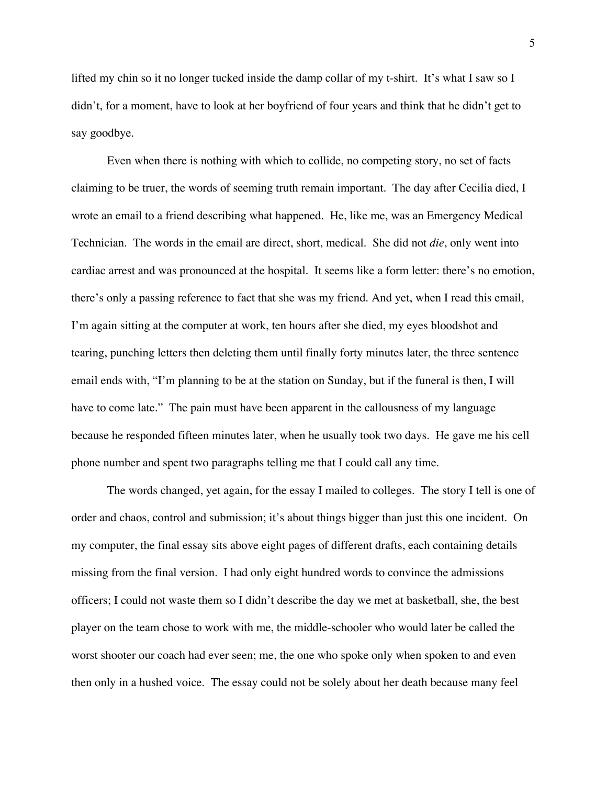lifted my chin so it no longer tucked inside the damp collar of my t-shirt. It's what I saw so I didn't, for a moment, have to look at her boyfriend of four years and think that he didn't get to say goodbye.

Even when there is nothing with which to collide, no competing story, no set of facts claiming to be truer, the words of seeming truth remain important. The day after Cecilia died, I wrote an email to a friend describing what happened. He, like me, was an Emergency Medical Technician. The words in the email are direct, short, medical. She did not *die*, only went into cardiac arrest and was pronounced at the hospital. It seems like a form letter: there's no emotion, there's only a passing reference to fact that she was my friend. And yet, when I read this email, I'm again sitting at the computer at work, ten hours after she died, my eyes bloodshot and tearing, punching letters then deleting them until finally forty minutes later, the three sentence email ends with, "I'm planning to be at the station on Sunday, but if the funeral is then, I will have to come late." The pain must have been apparent in the callousness of my language because he responded fifteen minutes later, when he usually took two days. He gave me his cell phone number and spent two paragraphs telling me that I could call any time.

The words changed, yet again, for the essay I mailed to colleges. The story I tell is one of order and chaos, control and submission; it's about things bigger than just this one incident. On my computer, the final essay sits above eight pages of different drafts, each containing details missing from the final version. I had only eight hundred words to convince the admissions officers; I could not waste them so I didn't describe the day we met at basketball, she, the best player on the team chose to work with me, the middle-schooler who would later be called the worst shooter our coach had ever seen; me, the one who spoke only when spoken to and even then only in a hushed voice. The essay could not be solely about her death because many feel